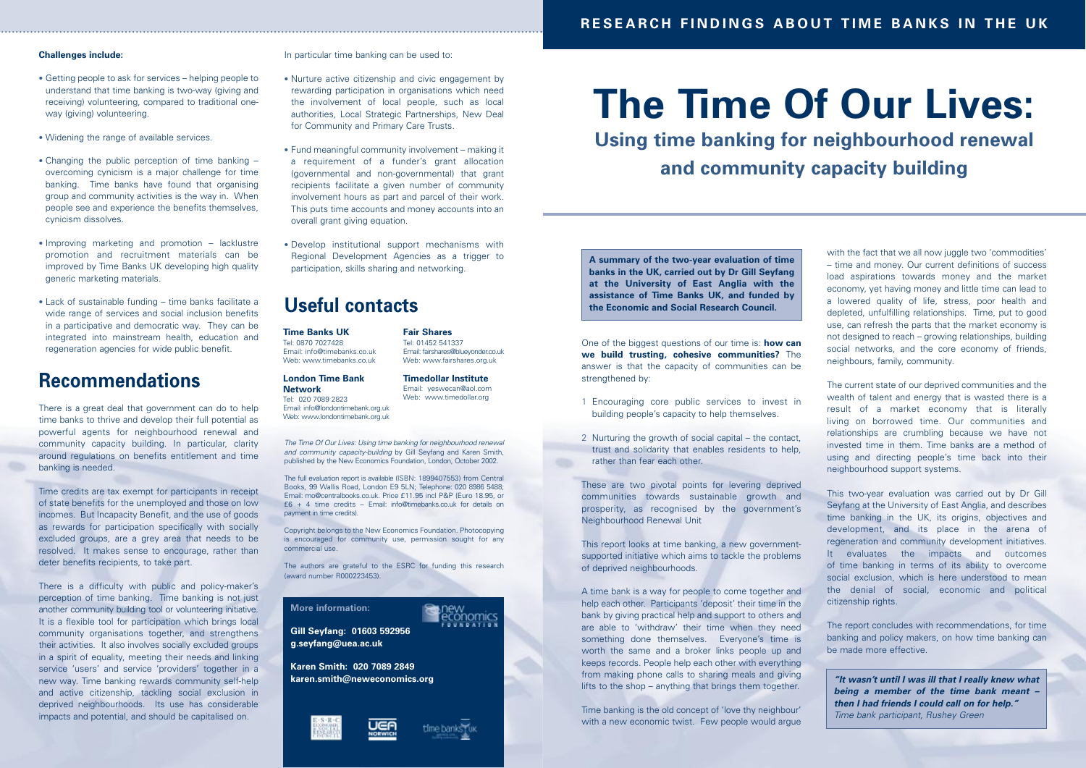# **The Time Of Our Lives: Using time banking for neighbourhood renewal and community capacity building**

One of the biggest questions of our time is: **how can we build trusting, cohesive communities?** The answer is that the capacity of communities can be strengthened by:

A time bank is a way for people to come together and help each other. Participants 'deposit' their time in the bank by giving practical help and support to others and are able to 'withdraw' their time when they need something done themselves. Everyone's time is worth the same and a broker links people up and keeps records. People help each other with everything from making phone calls to sharing meals and giving lifts to the shop – anything that brings them together. **karen.smith@neweconomics.org <b>Example 2018** ITOM making phone calls to sharing meals and giving **a larger wite wasn't until I was ill that I really knew what** 

- 1 Encouraging core public services to invest in building people's capacity to help themselves.
- 2 Nurturing the growth of social capital the contact, trust and solidarity that enables residents to help, rather than fear each other.

These are two pivotal points for levering deprived communities towards sustainable growth and prosperity, as recognised by the government's Neighbourhood Renewal Unit

Time banking is the old concept of 'love thy neighbour' with a new economic twist. Few people would arque

This report looks at time banking, a new governmentsupported initiative which aims to tackle the problems of deprived neighbourhoods.

with the fact that we all now juggle two 'commodities' – time and money. Our current definitions of success load aspirations towards money and the market economy, yet having money and little time can lead to a lowered quality of life, stress, poor health and depleted, unfulfilling relationships. Time, put to good use, can refresh the parts that the market economy is not designed to reach – growing relationships, building social networks, and the core economy of friends, neighbours, family, community.

The current state of our deprived communities and the wealth of talent and energy that is wasted there is a result of a market economy that is literally living on borrowed time. Our communities and relationships are crumbling because we have not invested time in them. Time banks are a method of using and directing people's time back into their neighbourhood support systems.

This two-year evaluation was carried out by Dr Gill Seyfang at the University of East Anglia, and describes time banking in the UK, its origins, objectives and development, and its place in the arena of regeneration and community development initiatives. It evaluates the impacts and outcomes of time banking in terms of its ability to overcome social exclusion, which is here understood to mean the denial of social, economic and political citizenship rights.

The report concludes with recommendations, for time banking and policy makers, on how time banking can be made more effective.

#### **Challenges include:**

- Getting people to ask for services helping people to understand that time banking is two-way (giving and receiving) volunteering, compared to traditional oneway (giving) volunteering.
- Widening the range of available services.
- Changing the public perception of time banking overcoming cynicism is a major challenge for time banking. Time banks have found that organising group and community activities is the way in. When people see and experience the benefits themselves, cynicism dissolves.
- Improving marketing and promotion lacklustre promotion and recruitment materials can be improved by Time Banks UK developing high quality generic marketing materials.
- Lack of sustainable funding time banks facilitate a wide range of services and social inclusion benefits in a participative and democratic way. They can be integrated into mainstream health, education and regeneration agencies for wide public benefit.

Email: info@timebanks.co.uk Web: www.timebanks.co.uk

## **Recommendations**

There is a great deal that government can do to help time banks to thrive and develop their full potential as powerful agents for neighbourhood renewal and community capacity building. In particular, clarity around regulations on benefits entitlement and time banking is needed.

Time credits are tax exempt for participants in receipt of state benefits for the unemployed and those on low incomes. But Incapacity Benefit, and the use of goods as rewards for participation specifically with socially excluded groups, are a grey area that needs to be resolved. It makes sense to encourage, rather than deter benefits recipients, to take part.

There is a difficulty with public and policy-maker's perception of time banking. Time banking is not just another community building tool or volunteering initiative. It is a flexible tool for participation which brings local community organisations together, and strengthens their activities. It also involves socially excluded groups in a spirit of equality, meeting their needs and linking service 'users' and service 'providers' together in a new way. Time banking rewards community self-help and active citizenship, tackling social exclusion in deprived neighbourhoods. Its use has considerable impacts and potential, and should be capitalised on.

In particular time banking can be used to:

- Nurture active citizenship and civic engagement by rewarding participation in organisations which need the involvement of local people, such as local authorities, Local Strategic Partnerships, New Deal for Community and Primary Care Trusts.
- Fund meaningful community involvement making it a requirement of a funder's grant allocation (governmental and non-governmental) that grant recipients facilitate a given number of community involvement hours as part and parcel of their work. This puts time accounts and money accounts into an overall grant giving equation.
- Develop institutional support mechanisms with Regional Development Agencies as a trigger to participation, skills sharing and networking.

## **Useful contacts**

*The Time Of Our Lives: Using time banking for neighbourhood renewal and community capacity-building* by Gill Seyfang and Karen Smith, published by the New Economics Foundation, London, October 2002.

The full evaluation report is available (ISBN: 1899407553) from Central Books, 99 Wallis Road, London E9 5LN; Telephone: 020 8986 5488; Email: mo@centralbooks.co.uk. Price £11.95 incl P&P (Euro 18.95, or £6 + 4 time credits – Email: info@timebanks.co.uk for details on payment in time credits).

Copyright belongs to the New Economics Foundation. Photocopying is encouraged for community use, permission sought for any commercial use.

The authors are grateful to the ESRC for funding this research (award number R000223453).

**A summary of the two-year evaluation of time banks in the UK, carried out by Dr Gill Seyfang at the University of East Anglia with the assistance of Time Banks UK, and funded by the Economic and Social Research Council.**

**More information:** 



**Gill Seyfang: 01603 592956 g.seyfang@uea.ac.uk**

**Karen Smith: 020 7089 2849**





*being a member of the time bank meant – then I had friends I could call on for help." Time bank participant, Rushey Green*

#### **Time Banks UK** Tel: 0870 7027428

#### **London Time Bank Network**

Tel: 020 7089 2823 Email: info@londontimebank.org.uk Web: www.londontimebank.org.uk **Fair Shares** Tel: 01452 541337

Email: fairshares@blueyonder.co.uk

## Web: www.fairshares.org.uk **Timedollar Institute**

Email: yeswecan@aol.com

Web: www.timedollar.org